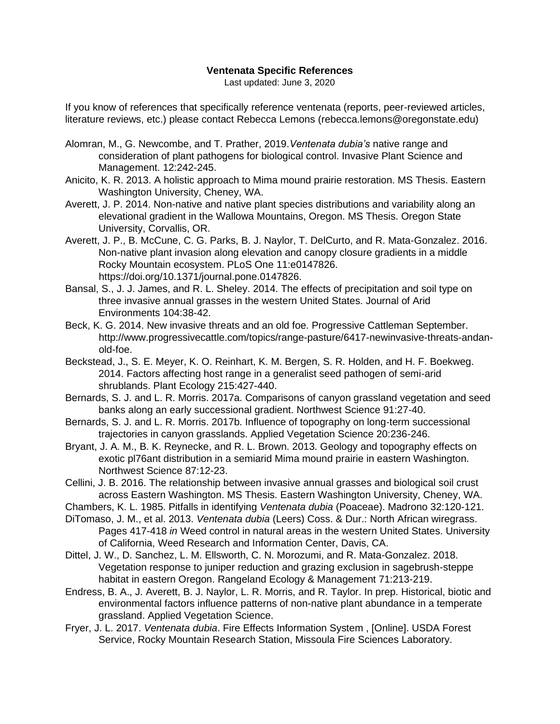## **Ventenata Specific References**

Last updated: June 3, 2020

If you know of references that specifically reference ventenata (reports, peer-reviewed articles, literature reviews, etc.) please contact Rebecca Lemons (rebecca.lemons@oregonstate.edu)

- Alomran, M., G. Newcombe, and T. Prather, 2019.*Ventenata dubia's* native range and consideration of plant pathogens for biological control. Invasive Plant Science and Management. 12:242-245.
- Anicito, K. R. 2013. A holistic approach to Mima mound prairie restoration. MS Thesis. Eastern Washington University, Cheney, WA.
- Averett, J. P. 2014. Non-native and native plant species distributions and variability along an elevational gradient in the Wallowa Mountains, Oregon. MS Thesis. Oregon State University, Corvallis, OR.
- Averett, J. P., B. McCune, C. G. Parks, B. J. Naylor, T. DelCurto, and R. Mata-Gonzalez. 2016. Non-native plant invasion along elevation and canopy closure gradients in a middle Rocky Mountain ecosystem. PLoS One 11:e0147826. https://doi.org/10.1371/journal.pone.0147826.
- Bansal, S., J. J. James, and R. L. Sheley. 2014. The effects of precipitation and soil type on three invasive annual grasses in the western United States. Journal of Arid Environments 104:38-42.
- Beck, K. G. 2014. New invasive threats and an old foe. Progressive Cattleman September. http://www.progressivecattle.com/topics/range-pasture/6417-newinvasive-threats-andanold-foe.
- Beckstead, J., S. E. Meyer, K. O. Reinhart, K. M. Bergen, S. R. Holden, and H. F. Boekweg. 2014. Factors affecting host range in a generalist seed pathogen of semi-arid shrublands. Plant Ecology 215:427-440.
- Bernards, S. J. and L. R. Morris. 2017a. Comparisons of canyon grassland vegetation and seed banks along an early successional gradient. Northwest Science 91:27-40.
- Bernards, S. J. and L. R. Morris. 2017b. Influence of topography on long‐term successional trajectories in canyon grasslands. Applied Vegetation Science 20:236-246.
- Bryant, J. A. M., B. K. Reynecke, and R. L. Brown. 2013. Geology and topography effects on exotic pl76ant distribution in a semiarid Mima mound prairie in eastern Washington. Northwest Science 87:12-23.
- Cellini, J. B. 2016. The relationship between invasive annual grasses and biological soil crust across Eastern Washington. MS Thesis. Eastern Washington University, Cheney, WA.

Chambers, K. L. 1985. Pitfalls in identifying *Ventenata dubia* (Poaceae). Madrono 32:120-121.

- DiTomaso, J. M., et al. 2013. *Ventenata dubia* (Leers) Coss. & Dur.: North African wiregrass. Pages 417-418 *in* Weed control in natural areas in the western United States. University of California, Weed Research and Information Center, Davis, CA.
- Dittel, J. W., D. Sanchez, L. M. Ellsworth, C. N. Morozumi, and R. Mata-Gonzalez. 2018. Vegetation response to juniper reduction and grazing exclusion in sagebrush-steppe habitat in eastern Oregon. Rangeland Ecology & Management 71:213-219.
- Endress, B. A., J. Averett, B. J. Naylor, L. R. Morris, and R. Taylor. In prep. Historical, biotic and environmental factors influence patterns of non-native plant abundance in a temperate grassland. Applied Vegetation Science.
- Fryer, J. L. 2017. *Ventenata dubia*. Fire Effects Information System , [Online]. USDA Forest Service, Rocky Mountain Research Station, Missoula Fire Sciences Laboratory.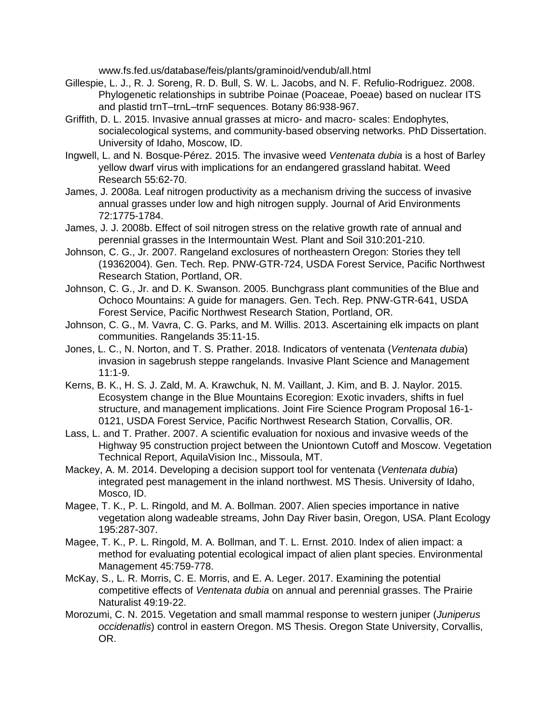www.fs.fed.us/database/feis/plants/graminoid/vendub/all.html

- Gillespie, L. J., R. J. Soreng, R. D. Bull, S. W. L. Jacobs, and N. F. Refulio-Rodriguez. 2008. Phylogenetic relationships in subtribe Poinae (Poaceae, Poeae) based on nuclear ITS and plastid trnT–trnL–trnF sequences. Botany 86:938-967.
- Griffith, D. L. 2015. Invasive annual grasses at micro- and macro- scales: Endophytes, socialecological systems, and community-based observing networks. PhD Dissertation. University of Idaho, Moscow, ID.
- Ingwell, L. and N. Bosque‐Pérez. 2015. The invasive weed *Ventenata dubia* is a host of Barley yellow dwarf virus with implications for an endangered grassland habitat. Weed Research 55:62-70.
- James, J. 2008a. Leaf nitrogen productivity as a mechanism driving the success of invasive annual grasses under low and high nitrogen supply. Journal of Arid Environments 72:1775-1784.
- James, J. J. 2008b. Effect of soil nitrogen stress on the relative growth rate of annual and perennial grasses in the Intermountain West. Plant and Soil 310:201-210.
- Johnson, C. G., Jr. 2007. Rangeland exclosures of northeastern Oregon: Stories they tell (19362004). Gen. Tech. Rep. PNW-GTR-724, USDA Forest Service, Pacific Northwest Research Station, Portland, OR.
- Johnson, C. G., Jr. and D. K. Swanson. 2005. Bunchgrass plant communities of the Blue and Ochoco Mountains: A guide for managers. Gen. Tech. Rep. PNW-GTR-641, USDA Forest Service, Pacific Northwest Research Station, Portland, OR.
- Johnson, C. G., M. Vavra, C. G. Parks, and M. Willis. 2013. Ascertaining elk impacts on plant communities. Rangelands 35:11-15.
- Jones, L. C., N. Norton, and T. S. Prather. 2018. Indicators of ventenata (*Ventenata dubia*) invasion in sagebrush steppe rangelands. Invasive Plant Science and Management 11:1-9.
- Kerns, B. K., H. S. J. Zald, M. A. Krawchuk, N. M. Vaillant, J. Kim, and B. J. Naylor. 2015. Ecosystem change in the Blue Mountains Ecoregion: Exotic invaders, shifts in fuel structure, and management implications. Joint Fire Science Program Proposal 16-1- 0121, USDA Forest Service, Pacific Northwest Research Station, Corvallis, OR.
- Lass, L. and T. Prather. 2007. A scientific evaluation for noxious and invasive weeds of the Highway 95 construction project between the Uniontown Cutoff and Moscow. Vegetation Technical Report, AquilaVision Inc., Missoula, MT.
- Mackey, A. M. 2014. Developing a decision support tool for ventenata (*Ventenata dubia*) integrated pest management in the inland northwest. MS Thesis. University of Idaho, Mosco, ID.
- Magee, T. K., P. L. Ringold, and M. A. Bollman. 2007. Alien species importance in native vegetation along wadeable streams, John Day River basin, Oregon, USA. Plant Ecology 195:287-307.
- Magee, T. K., P. L. Ringold, M. A. Bollman, and T. L. Ernst. 2010. Index of alien impact: a method for evaluating potential ecological impact of alien plant species. Environmental Management 45:759-778.
- McKay, S., L. R. Morris, C. E. Morris, and E. A. Leger. 2017. Examining the potential competitive effects of *Ventenata dubia* on annual and perennial grasses. The Prairie Naturalist 49:19-22.
- Morozumi, C. N. 2015. Vegetation and small mammal response to western juniper (*Juniperus occidenatlis*) control in eastern Oregon. MS Thesis. Oregon State University, Corvallis, OR.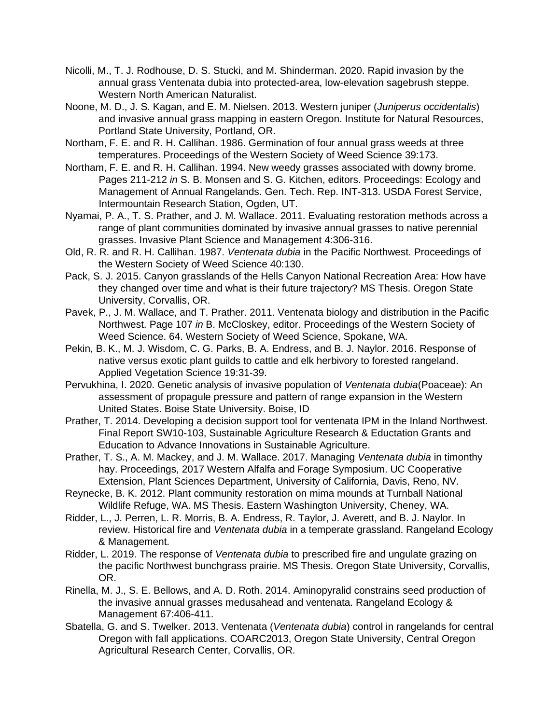- Nicolli, M., T. J. Rodhouse, D. S. Stucki, and M. Shinderman. 2020. Rapid invasion by the annual grass Ventenata dubia into protected-area, low-elevation sagebrush steppe. Western North American Naturalist.
- Noone, M. D., J. S. Kagan, and E. M. Nielsen. 2013. Western juniper (*Juniperus occidentalis*) and invasive annual grass mapping in eastern Oregon. Institute for Natural Resources, Portland State University, Portland, OR.
- Northam, F. E. and R. H. Callihan. 1986. Germination of four annual grass weeds at three temperatures. Proceedings of the Western Society of Weed Science 39:173.
- Northam, F. E. and R. H. Callihan. 1994. New weedy grasses associated with downy brome. Pages 211-212 *in* S. B. Monsen and S. G. Kitchen, editors. Proceedings: Ecology and Management of Annual Rangelands. Gen. Tech. Rep. INT-313. USDA Forest Service, Intermountain Research Station, Ogden, UT.
- Nyamai, P. A., T. S. Prather, and J. M. Wallace. 2011. Evaluating restoration methods across a range of plant communities dominated by invasive annual grasses to native perennial grasses. Invasive Plant Science and Management 4:306-316.
- Old, R. R. and R. H. Callihan. 1987. *Ventenata dubia* in the Pacific Northwest. Proceedings of the Western Society of Weed Science 40:130.
- Pack, S. J. 2015. Canyon grasslands of the Hells Canyon National Recreation Area: How have they changed over time and what is their future trajectory? MS Thesis. Oregon State University, Corvallis, OR.
- Pavek, P., J. M. Wallace, and T. Prather. 2011. Ventenata biology and distribution in the Pacific Northwest. Page 107 *in* B. McCloskey, editor. Proceedings of the Western Society of Weed Science. 64. Western Society of Weed Science, Spokane, WA.
- Pekin, B. K., M. J. Wisdom, C. G. Parks, B. A. Endress, and B. J. Naylor. 2016. Response of native versus exotic plant guilds to cattle and elk herbivory to forested rangeland. Applied Vegetation Science 19:31-39.
- Pervukhina, I. 2020. Genetic analysis of invasive population of *Ventenata dubia*(Poaceae): An assessment of propagule pressure and pattern of range expansion in the Western United States. Boise State University. Boise, ID
- Prather, T. 2014. Developing a decision support tool for ventenata IPM in the Inland Northwest. Final Report SW10-103, Sustainable Agriculture Research & Eductation Grants and Education to Advance Innovations in Sustainable Agriculture.
- Prather, T. S., A. M. Mackey, and J. M. Wallace. 2017. Managing *Ventenata dubia* in timonthy hay. Proceedings, 2017 Western Alfalfa and Forage Symposium. UC Cooperative Extension, Plant Sciences Department, University of California, Davis, Reno, NV.
- Reynecke, B. K. 2012. Plant community restoration on mima mounds at Turnball National Wildlife Refuge, WA. MS Thesis. Eastern Washington University, Cheney, WA.
- Ridder, L., J. Perren, L. R. Morris, B. A. Endress, R. Taylor, J. Averett, and B. J. Naylor. In review. Historical fire and *Ventenata dubia* in a temperate grassland. Rangeland Ecology & Management.
- Ridder, L. 2019. The response of *Ventenata dubia* to prescribed fire and ungulate grazing on the pacific Northwest bunchgrass prairie. MS Thesis. Oregon State University, Corvallis, OR.
- Rinella, M. J., S. E. Bellows, and A. D. Roth. 2014. Aminopyralid constrains seed production of the invasive annual grasses medusahead and ventenata. Rangeland Ecology & Management 67:406-411.
- Sbatella, G. and S. Twelker. 2013. Ventenata (*Ventenata dubia*) control in rangelands for central Oregon with fall applications. COARC2013, Oregon State University, Central Oregon Agricultural Research Center, Corvallis, OR.